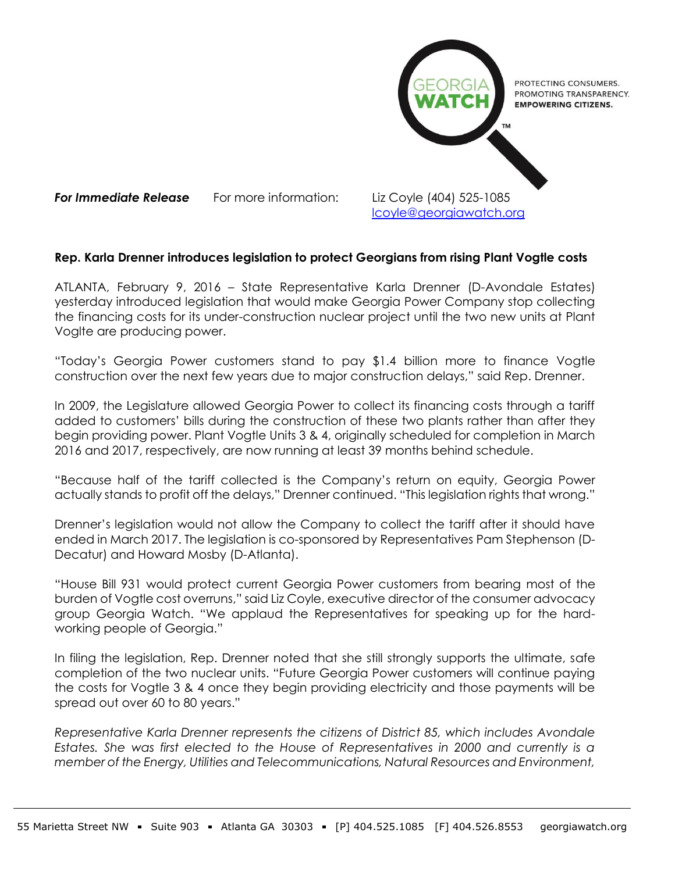

**For Immediate Release** For more information: Liz Coyle (404) 525-1085 [lcoyle@georgiawatch.org](mailto:lcoyle@georgiawatch.org)

## **Rep. Karla Drenner introduces legislation to protect Georgians from rising Plant Vogtle costs**

ATLANTA, February 9, 2016 – State Representative Karla Drenner (D-Avondale Estates) yesterday introduced legislation that would make Georgia Power Company stop collecting the financing costs for its under-construction nuclear project until the two new units at Plant Voglte are producing power.

"Today's Georgia Power customers stand to pay \$1.4 billion more to finance Vogtle construction over the next few years due to major construction delays," said Rep. Drenner.

In 2009, the Legislature allowed Georgia Power to collect its financing costs through a tariff added to customers' bills during the construction of these two plants rather than after they begin providing power. Plant Vogtle Units 3 & 4, originally scheduled for completion in March 2016 and 2017, respectively, are now running at least 39 months behind schedule.

"Because half of the tariff collected is the Company's return on equity, Georgia Power actually stands to profit off the delays," Drenner continued. "This legislation rights that wrong."

Drenner's legislation would not allow the Company to collect the tariff after it should have ended in March 2017. The legislation is co-sponsored by Representatives Pam Stephenson (D-Decatur) and Howard Mosby (D-Atlanta).

"House Bill 931 would protect current Georgia Power customers from bearing most of the burden of Vogtle cost overruns," said Liz Coyle, executive director of the consumer advocacy group Georgia Watch. "We applaud the Representatives for speaking up for the hardworking people of Georgia."

In filing the legislation, Rep. Drenner noted that she still strongly supports the ultimate, safe completion of the two nuclear units. "Future Georgia Power customers will continue paying the costs for Vogtle 3 & 4 once they begin providing electricity and those payments will be spread out over 60 to 80 years."

*Representative Karla Drenner represents the citizens of District 85, which includes Avondale Estates. She was first elected to the House of Representatives in 2000 and currently is a member of the Energy, Utilities and Telecommunications, Natural Resources and Environment,*